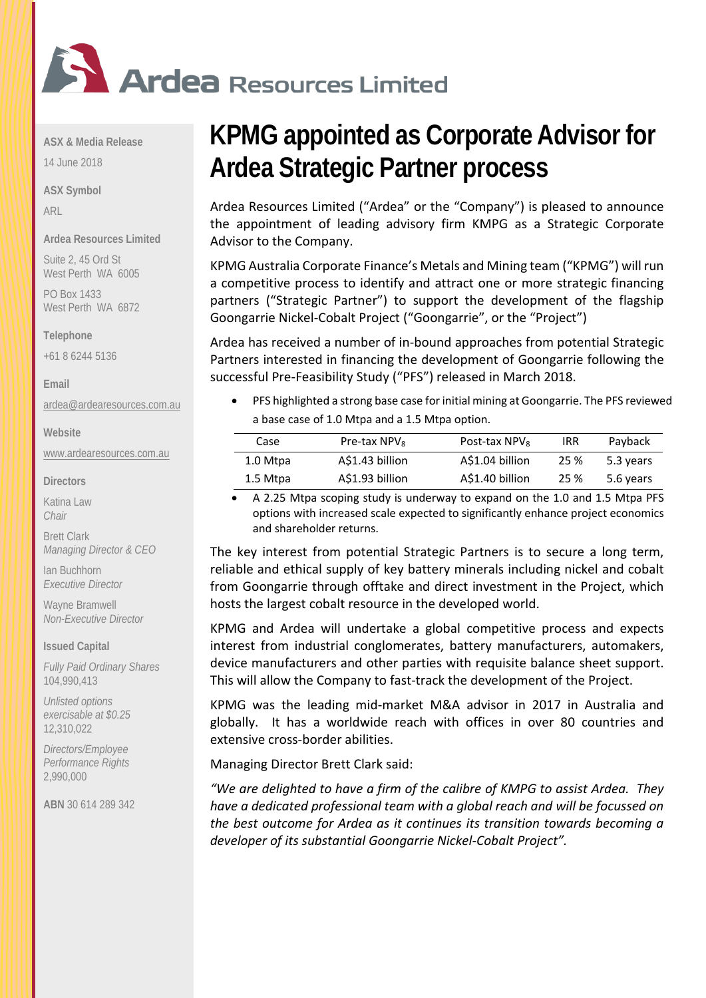

**ASX & Media Release**

14 June 2018

**ASX Symbol** ARL

**Ardea Resources Limited**

Suite 2, 45 Ord St West Perth WA 6005

PO Box 1433 West Perth WA 6872

**Telephone** 

+61 8 6244 5136

**Email**

[ardea@ardearesources.com.au](mailto:ardea@ardearesources.com.au)

**Website**

[www.ardearesources.com.au](http://www.ardearesources.com.au/)

**Directors**

Katina Law *Chair*

Brett Clark *Managing Director & CEO*

Ian Buchhorn *Executive Director*

Wayne Bramwell *Non-Executive Director*

#### **Issued Capital**

*Fully Paid Ordinary Shares* 104,990,413

*Unlisted options exercisable at \$0.25* 12,310,022

*Directors/Employee Performance Rights* 2,990,000

**ABN** 30 614 289 342

# **KPMG appointed as Corporate Advisor for Ardea Strategic Partner process**

Ardea Resources Limited ("Ardea" or the "Company") is pleased to announce the appointment of leading advisory firm KMPG as a Strategic Corporate Advisor to the Company.

KPMG Australia Corporate Finance's Metals and Mining team ("KPMG") will run a competitive process to identify and attract one or more strategic financing partners ("Strategic Partner") to support the development of the flagship Goongarrie Nickel-Cobalt Project ("Goongarrie", or the "Project")

Ardea has received a number of in-bound approaches from potential Strategic Partners interested in financing the development of Goongarrie following the successful Pre-Feasibility Study ("PFS") released in March 2018.

• PFS highlighted a strong base case for initial mining at Goongarrie. The PFS reviewed a base case of 1.0 Mtpa and a 1.5 Mtpa option.

| Case     | Pre-tax NPV <sub>8</sub> | Post-tax $NPV_8$ | <b>IRR</b> | Payback   |
|----------|--------------------------|------------------|------------|-----------|
| 1.0 Mtpa | A\$1.43 billion          | A\$1.04 billion  | 25 %       | 5.3 years |
| 1.5 Mtpa | A\$1.93 billion          | A\$1.40 billion  | 25 %       | 5.6 years |

• A 2.25 Mtpa scoping study is underway to expand on the 1.0 and 1.5 Mtpa PFS options with increased scale expected to significantly enhance project economics and shareholder returns.

The key interest from potential Strategic Partners is to secure a long term, reliable and ethical supply of key battery minerals including nickel and cobalt from Goongarrie through offtake and direct investment in the Project, which hosts the largest cobalt resource in the developed world.

KPMG and Ardea will undertake a global competitive process and expects interest from industrial conglomerates, battery manufacturers, automakers, device manufacturers and other parties with requisite balance sheet support. This will allow the Company to fast-track the development of the Project.

KPMG was the leading mid-market M&A advisor in 2017 in Australia and globally. It has a worldwide reach with offices in over 80 countries and extensive cross-border abilities.

Managing Director Brett Clark said:

*"We are delighted to have a firm of the calibre of KMPG to assist Ardea. They have a dedicated professional team with a global reach and will be focussed on the best outcome for Ardea as it continues its transition towards becoming a developer of its substantial Goongarrie Nickel-Cobalt Project".*